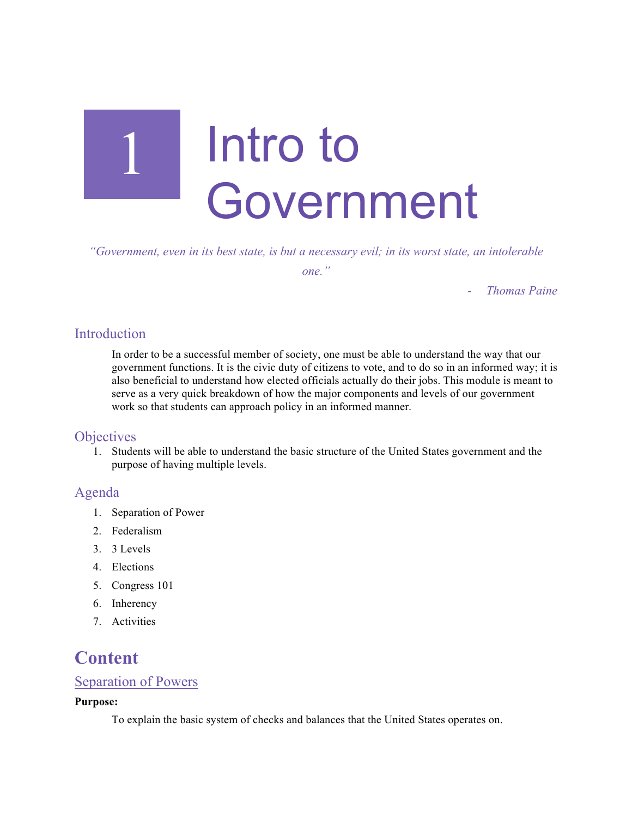

*"Government, even in its best state, is but a necessary evil; in its worst state, an intolerable one."*

- *Thomas Paine*

# **Introduction**

In order to be a successful member of society, one must be able to understand the way that our government functions. It is the civic duty of citizens to vote, and to do so in an informed way; it is also beneficial to understand how elected officials actually do their jobs. This module is meant to serve as a very quick breakdown of how the major components and levels of our government work so that students can approach policy in an informed manner.

# **Objectives**

1. Students will be able to understand the basic structure of the United States government and the purpose of having multiple levels.

# Agenda

- 1. Separation of Power
- 2. Federalism
- 3. 3 Levels
- 4. Elections
- 5. Congress 101
- 6. Inherency
- 7. Activities

# **Content**

# Separation of Powers

#### **Purpose:**

To explain the basic system of checks and balances that the United States operates on.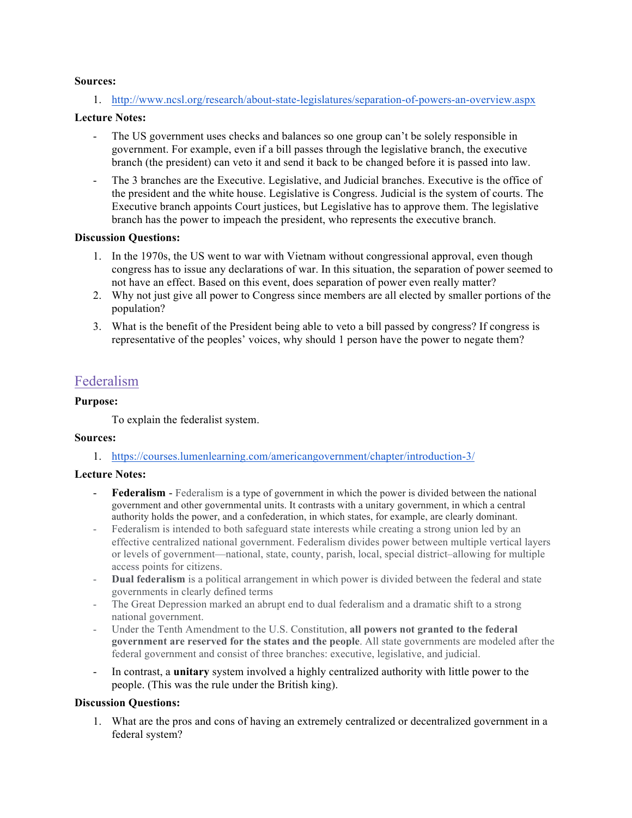#### **Sources:**

1. http://www.ncsl.org/research/about-state-legislatures/separation-of-powers-an-overview.aspx

#### **Lecture Notes:**

- The US government uses checks and balances so one group can't be solely responsible in government. For example, even if a bill passes through the legislative branch, the executive branch (the president) can veto it and send it back to be changed before it is passed into law.
- The 3 branches are the Executive. Legislative, and Judicial branches. Executive is the office of the president and the white house. Legislative is Congress. Judicial is the system of courts. The Executive branch appoints Court justices, but Legislative has to approve them. The legislative branch has the power to impeach the president, who represents the executive branch.

#### **Discussion Questions:**

- 1. In the 1970s, the US went to war with Vietnam without congressional approval, even though congress has to issue any declarations of war. In this situation, the separation of power seemed to not have an effect. Based on this event, does separation of power even really matter?
- 2. Why not just give all power to Congress since members are all elected by smaller portions of the population?
- 3. What is the benefit of the President being able to veto a bill passed by congress? If congress is representative of the peoples' voices, why should 1 person have the power to negate them?

# Federalism

#### **Purpose:**

To explain the federalist system.

#### **Sources:**

1. https://courses.lumenlearning.com/americangovernment/chapter/introduction-3/

#### **Lecture Notes:**

- **Federalism** Federalism is a type of government in which the power is divided between the national government and other governmental units. It contrasts with a unitary government, in which a central authority holds the power, and a confederation, in which states, for example, are clearly dominant.
- Federalism is intended to both safeguard state interests while creating a strong union led by an effective centralized national government. Federalism divides power between multiple vertical layers or levels of government—national, state, county, parish, local, special district–allowing for multiple access points for citizens.
- **Dual federalism** is a political arrangement in which power is divided between the federal and state governments in clearly defined terms
- The Great Depression marked an abrupt end to dual federalism and a dramatic shift to a strong national government.
- Under the Tenth Amendment to the U.S. Constitution, **all powers not granted to the federal government are reserved for the states and the people**. All state governments are modeled after the federal government and consist of three branches: executive, legislative, and judicial.
- In contrast, a **unitary** system involved a highly centralized authority with little power to the people. (This was the rule under the British king).

### **Discussion Questions:**

1. What are the pros and cons of having an extremely centralized or decentralized government in a federal system?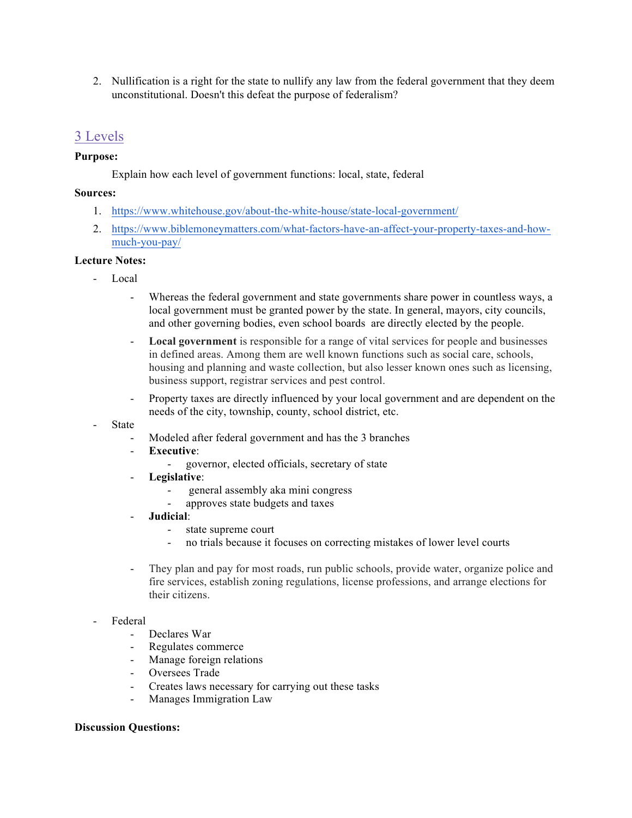2. Nullification is a right for the state to nullify any law from the federal government that they deem unconstitutional. Doesn't this defeat the purpose of federalism?

# 3 Levels

### **Purpose:**

Explain how each level of government functions: local, state, federal

#### **Sources:**

- 1. https://www.whitehouse.gov/about-the-white-house/state-local-government/
- 2. https://www.biblemoneymatters.com/what-factors-have-an-affect-your-property-taxes-and-howmuch-you-pay/

## **Lecture Notes:**

- Local
	- Whereas the federal government and state governments share power in countless ways, a local government must be granted power by the state. In general, mayors, city councils, and other governing bodies, even school boards are directly elected by the people.
	- **Local government** is responsible for a range of vital services for people and businesses in defined areas. Among them are well known functions such as social care, schools, housing and planning and waste collection, but also lesser known ones such as licensing, business support, registrar services and pest control.
	- Property taxes are directly influenced by your local government and are dependent on the needs of the city, township, county, school district, etc.

#### **State**

- Modeled after federal government and has the 3 branches
- **Executive**:
	- governor, elected officials, secretary of state
- **Legislative**:
	- general assembly aka mini congress
	- approves state budgets and taxes
- **Judicial**:
	- state supreme court
	- no trials because it focuses on correcting mistakes of lower level courts
- They plan and pay for most roads, run public schools, provide water, organize police and fire services, establish zoning regulations, license professions, and arrange elections for their citizens.

#### - Federal

- Declares War
- Regulates commerce
- Manage foreign relations
- Oversees Trade
- Creates laws necessary for carrying out these tasks
- Manages Immigration Law

#### **Discussion Questions:**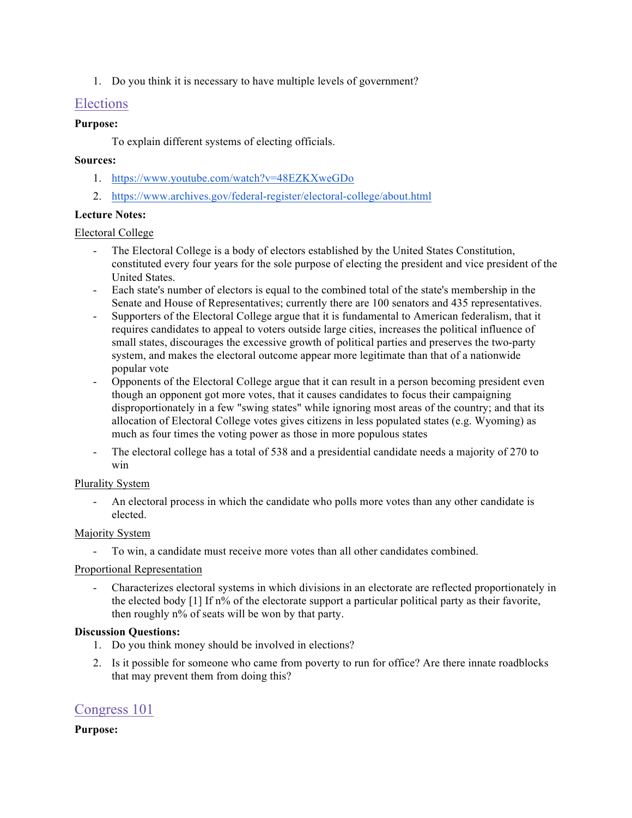1. Do you think it is necessary to have multiple levels of government?

# Elections

## **Purpose:**

To explain different systems of electing officials.

## **Sources:**

- 1. https://www.youtube.com/watch?v=48EZKXweGDo
- 2. https://www.archives.gov/federal-register/electoral-college/about.html

## **Lecture Notes:**

## Electoral College

- The Electoral College is a body of electors established by the United States Constitution, constituted every four years for the sole purpose of electing the president and vice president of the United States.
- Each state's number of electors is equal to the combined total of the state's membership in the Senate and House of Representatives; currently there are 100 senators and 435 representatives.
- Supporters of the Electoral College argue that it is fundamental to American federalism, that it requires candidates to appeal to voters outside large cities, increases the political influence of small states, discourages the excessive growth of political parties and preserves the two-party system, and makes the electoral outcome appear more legitimate than that of a nationwide popular vote
- Opponents of the Electoral College argue that it can result in a person becoming president even though an opponent got more votes, that it causes candidates to focus their campaigning disproportionately in a few "swing states" while ignoring most areas of the country; and that its allocation of Electoral College votes gives citizens in less populated states (e.g. Wyoming) as much as four times the voting power as those in more populous states
- The electoral college has a total of 538 and a presidential candidate needs a majority of 270 to win

# Plurality System

- An electoral process in which the candidate who polls more votes than any other candidate is elected.

# Majority System

- To win, a candidate must receive more votes than all other candidates combined.

#### Proportional Representation

- Characterizes electoral systems in which divisions in an electorate are reflected proportionately in the elected body [1] If n% of the electorate support a particular political party as their favorite, then roughly n% of seats will be won by that party.

#### **Discussion Questions:**

- 1. Do you think money should be involved in elections?
- 2. Is it possible for someone who came from poverty to run for office? Are there innate roadblocks that may prevent them from doing this?

# Congress 101

**Purpose:**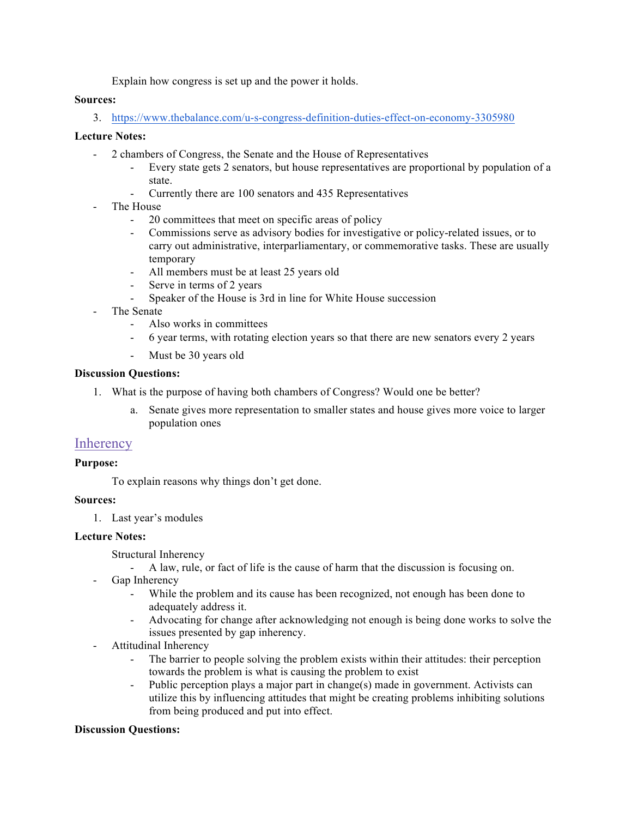Explain how congress is set up and the power it holds.

#### **Sources:**

3. https://www.thebalance.com/u-s-congress-definition-duties-effect-on-economy-3305980

## **Lecture Notes:**

- 2 chambers of Congress, the Senate and the House of Representatives
	- Every state gets 2 senators, but house representatives are proportional by population of a state.
	- Currently there are 100 senators and 435 Representatives
- The House
	- 20 committees that meet on specific areas of policy
	- Commissions serve as advisory bodies for investigative or policy-related issues, or to carry out administrative, interparliamentary, or commemorative tasks. These are usually temporary
	- All members must be at least 25 years old
	- Serve in terms of 2 years
	- Speaker of the House is 3rd in line for White House succession
- The Senate
	- Also works in committees
	- 6 year terms, with rotating election years so that there are new senators every 2 years
	- Must be 30 years old

#### **Discussion Questions:**

- 1. What is the purpose of having both chambers of Congress? Would one be better?
	- a. Senate gives more representation to smaller states and house gives more voice to larger population ones

#### **Inherency**

#### **Purpose:**

To explain reasons why things don't get done.

#### **Sources:**

1. Last year's modules

#### **Lecture Notes:**

Structural Inherency

- A law, rule, or fact of life is the cause of harm that the discussion is focusing on.
- Gap Inherency
	- While the problem and its cause has been recognized, not enough has been done to adequately address it.
	- Advocating for change after acknowledging not enough is being done works to solve the issues presented by gap inherency.
- Attitudinal Inherency
	- The barrier to people solving the problem exists within their attitudes: their perception towards the problem is what is causing the problem to exist
	- Public perception plays a major part in change(s) made in government. Activists can utilize this by influencing attitudes that might be creating problems inhibiting solutions from being produced and put into effect.

#### **Discussion Questions:**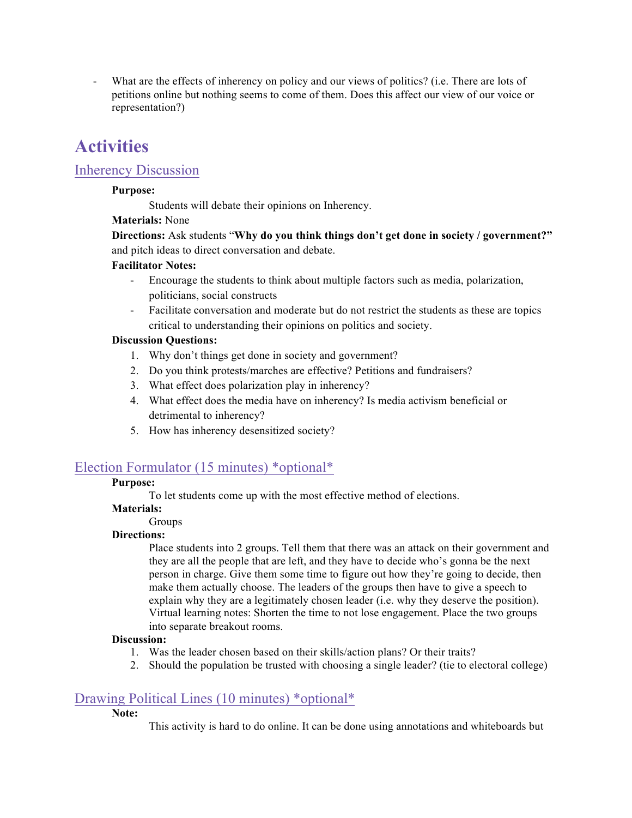- What are the effects of inherency on policy and our views of politics? (i.e. There are lots of petitions online but nothing seems to come of them. Does this affect our view of our voice or representation?)

# **Activities**

# Inherency Discussion

### **Purpose:**

Students will debate their opinions on Inherency.

# **Materials:** None

**Directions:** Ask students "**Why do you think things don't get done in society / government?"**  and pitch ideas to direct conversation and debate.

## **Facilitator Notes:**

- Encourage the students to think about multiple factors such as media, polarization, politicians, social constructs
- Facilitate conversation and moderate but do not restrict the students as these are topics critical to understanding their opinions on politics and society.

## **Discussion Questions:**

- 1. Why don't things get done in society and government?
- 2. Do you think protests/marches are effective? Petitions and fundraisers?
- 3. What effect does polarization play in inherency?
- 4. What effect does the media have on inherency? Is media activism beneficial or detrimental to inherency?
- 5. How has inherency desensitized society?

# Election Formulator (15 minutes) \*optional\*

# **Purpose:**

To let students come up with the most effective method of elections.

# **Materials:**

# Groups

# **Directions:**

Place students into 2 groups. Tell them that there was an attack on their government and they are all the people that are left, and they have to decide who's gonna be the next person in charge. Give them some time to figure out how they're going to decide, then make them actually choose. The leaders of the groups then have to give a speech to explain why they are a legitimately chosen leader (i.e. why they deserve the position). Virtual learning notes: Shorten the time to not lose engagement. Place the two groups into separate breakout rooms.

#### **Discussion:**

- 1. Was the leader chosen based on their skills/action plans? Or their traits?
- 2. Should the population be trusted with choosing a single leader? (tie to electoral college)

# Drawing Political Lines (10 minutes) \*optional\*

#### **Note:**

This activity is hard to do online. It can be done using annotations and whiteboards but